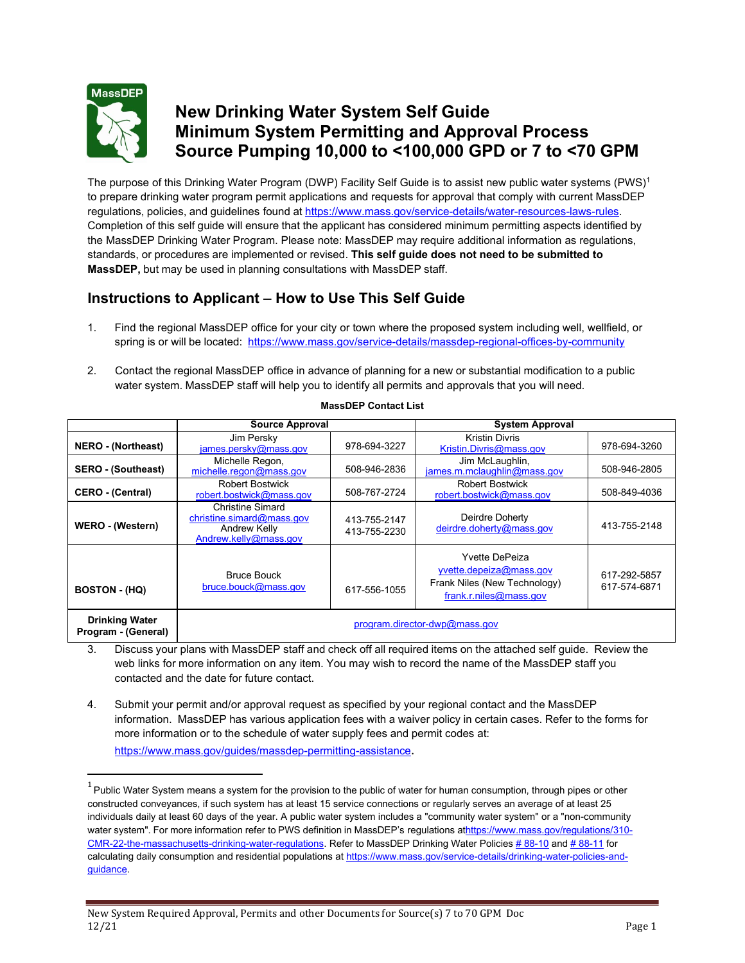

## **New Drinking Water System Self Guide Minimum System Permitting and Approval Process Source Pumping 10,000 to <100,000 GPD or 7 to <70 GPM**

The purpose of this Drinking Water Program (DWP) Facility Self Guide is to assist new public water systems (PWS)<sup>1</sup> to prepare drinking water program permit applications and requests for approval that comply with current MassDEP regulations, policies, and guidelines found at [https://www.mass.gov/service-details/water-resources-laws-rules.](https://www.mass.gov/service-details/water-resources-laws-rules) Completion of this self guide will ensure that the applicant has considered minimum permitting aspects identified by the MassDEP Drinking Water Program. Please note: MassDEP may require additional information as regulations, standards, or procedures are implemented or revised. **This self guide does not need to be submitted to MassDEP,** but may be used in planning consultations with MassDEP staff.

## **Instructions to Applicant** – **How to Use This Self Guide**

- 1. Find the regional MassDEP office for your city or town where the proposed system including well, wellfield, or spring is or will be located: <https://www.mass.gov/service-details/massdep-regional-offices-by-community>
- 2. Contact the regional MassDEP office in advance of planning for a new or substantial modification to a public water system. MassDEP staff will help you to identify all permits and approvals that you will need.

|                                              | <b>Source Approval</b>                                                                        |                              | <b>System Approval</b>                                                                                     |                              |
|----------------------------------------------|-----------------------------------------------------------------------------------------------|------------------------------|------------------------------------------------------------------------------------------------------------|------------------------------|
| <b>NERO</b> - (Northeast)                    | Jim Persky<br>james.persky@mass.gov                                                           | 978-694-3227                 | Kristin Divris<br>Kristin.Divris@mass.gov                                                                  | 978-694-3260                 |
| <b>SERO - (Southeast)</b>                    | Michelle Regon,<br>michelle.regon@mass.gov                                                    | 508-946-2836                 | Jim McLaughlin,<br>james.m.mclaughlin@mass.gov                                                             | 508-946-2805                 |
| <b>CERO - (Central)</b>                      | <b>Robert Bostwick</b><br>robert.bostwick@mass.gov                                            | 508-767-2724                 | <b>Robert Bostwick</b><br>robert.bostwick@mass.gov                                                         | 508-849-4036                 |
| WERO - (Western)                             | <b>Christine Simard</b><br>christine.simard@mass.gov<br>Andrew Kelly<br>Andrew.kelly@mass.gov | 413-755-2147<br>413-755-2230 | Deirdre Doherty<br>deirdre.doherty@mass.gov                                                                | 413-755-2148                 |
| <b>BOSTON - (HQ)</b>                         | <b>Bruce Bouck</b><br>bruce.bouck@mass.gov                                                    | 617-556-1055                 | <b>Yvette DePeiza</b><br>yvette.depeiza@mass.gov<br>Frank Niles (New Technology)<br>frank.r.niles@mass.gov | 617-292-5857<br>617-574-6871 |
| <b>Drinking Water</b><br>Program - (General) | program.director-dwp@mass.gov                                                                 |                              |                                                                                                            |                              |

## **MassDEP Contact List**

3. Discuss your plans with MassDEP staff and check off all required items on the attached self guide. Review the web links for more information on any item. You may wish to record the name of the MassDEP staff you contacted and the date for future contact.

4. Submit your permit and/or approval request as specified by your regional contact and the MassDEP information. MassDEP has various application fees with a waiver policy in certain cases. Refer to the forms for more information or to the schedule of water supply fees and permit codes at: <https://www.mass.gov/guides/massdep-permitting-assistance>[.](https://www.mass.gov/guides/massdep-permitting-assistance)

 $1$  Public Water System means a system for the provision to the public of water for human consumption, through pipes or other constructed conveyances, if such system has at least 15 service connections or regularly serves an average of at least 25 individuals daily at least 60 days of the year. A public water system includes a "community water system" or a "non-community water system". For more information refer to PWS definition in MassDEP's regulations [athttps://www.mass.gov/regulations/310-](https://www.mass.gov/regulations/310-CMR-22-the-massachusetts-drinking-water-regulations) [CMR-22-the-massachusetts-drinking-water-regulations. R](https://www.mass.gov/regulations/310-CMR-22-the-massachusetts-drinking-water-regulations)efer to MassDEP Drinking Water Policies #88-10 and #88-11 for calculating daily consumption and residential populations a[t https://www.mass.gov/service-details/drinking-water-policies-and](https://www.mass.gov/service-details/drinking-water-policies-and-guidance)[guidance.](https://www.mass.gov/service-details/drinking-water-policies-and-guidance)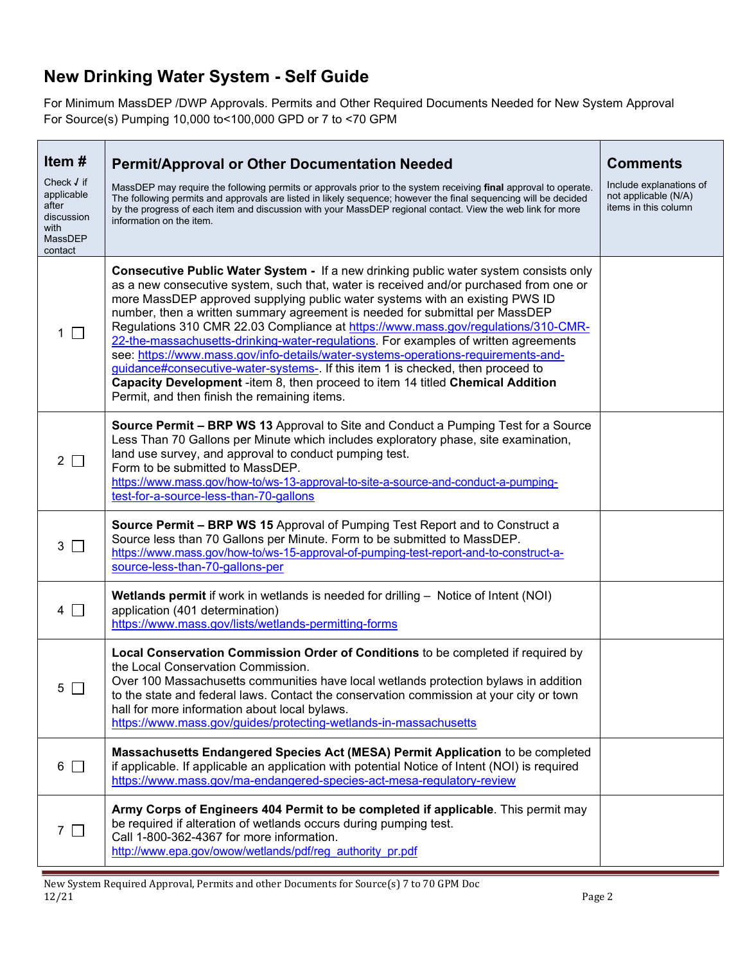## **New Drinking Water System - Self Guide**

For Minimum MassDEP /DWP Approvals. Permits and Other Required Documents Needed for New System Approval For Source(s) Pumping 10,000 to<100,000 GPD or 7 to <70 GPM

| Item#                                                                         | <b>Permit/Approval or Other Documentation Needed</b>                                                                                                                                                                                                                                                                                                                                                                                                                                                                                                                                                                                                                                                                                                                                                                                         | <b>Comments</b>                                                         |
|-------------------------------------------------------------------------------|----------------------------------------------------------------------------------------------------------------------------------------------------------------------------------------------------------------------------------------------------------------------------------------------------------------------------------------------------------------------------------------------------------------------------------------------------------------------------------------------------------------------------------------------------------------------------------------------------------------------------------------------------------------------------------------------------------------------------------------------------------------------------------------------------------------------------------------------|-------------------------------------------------------------------------|
| Check √ if<br>applicable<br>after<br>discussion<br>with<br>MassDEP<br>contact | MassDEP may require the following permits or approvals prior to the system receiving final approval to operate.<br>The following permits and approvals are listed in likely sequence; however the final sequencing will be decided<br>by the progress of each item and discussion with your MassDEP regional contact. View the web link for more<br>information on the item.                                                                                                                                                                                                                                                                                                                                                                                                                                                                 | Include explanations of<br>not applicable (N/A)<br>items in this column |
| $1 \Box$                                                                      | <b>Consecutive Public Water System - If a new drinking public water system consists only</b><br>as a new consecutive system, such that, water is received and/or purchased from one or<br>more MassDEP approved supplying public water systems with an existing PWS ID<br>number, then a written summary agreement is needed for submittal per MassDEP<br>Regulations 310 CMR 22.03 Compliance at https://www.mass.gov/regulations/310-CMR-<br>22-the-massachusetts-drinking-water-regulations. For examples of written agreements<br>see: https://www.mass.gov/info-details/water-systems-operations-requirements-and-<br>guidance#consecutive-water-systems-. If this item 1 is checked, then proceed to<br>Capacity Development -item 8, then proceed to item 14 titled Chemical Addition<br>Permit, and then finish the remaining items. |                                                                         |
| $2\Box$                                                                       | <b>Source Permit – BRP WS 13</b> Approval to Site and Conduct a Pumping Test for a Source<br>Less Than 70 Gallons per Minute which includes exploratory phase, site examination,<br>land use survey, and approval to conduct pumping test.<br>Form to be submitted to MassDEP.<br>https://www.mass.gov/how-to/ws-13-approval-to-site-a-source-and-conduct-a-pumping-<br>test-for-a-source-less-than-70-gallons                                                                                                                                                                                                                                                                                                                                                                                                                               |                                                                         |
| $3\Box$                                                                       | <b>Source Permit - BRP WS 15 Approval of Pumping Test Report and to Construct a</b><br>Source less than 70 Gallons per Minute. Form to be submitted to MassDEP.<br>https://www.mass.gov/how-to/ws-15-approval-of-pumping-test-report-and-to-construct-a-<br>source-less-than-70-gallons-per                                                                                                                                                                                                                                                                                                                                                                                                                                                                                                                                                  |                                                                         |
| $4$ $\Box$                                                                    | <b>Wetlands permit if work in wetlands is needed for drilling - Notice of Intent (NOI)</b><br>application (401 determination)<br>https://www.mass.gov/lists/wetlands-permitting-forms                                                                                                                                                                                                                                                                                                                                                                                                                                                                                                                                                                                                                                                        |                                                                         |
| 5                                                                             | Local Conservation Commission Order of Conditions to be completed if required by<br>the Local Conservation Commission.<br>Over 100 Massachusetts communities have local wetlands protection bylaws in addition<br>to the state and federal laws. Contact the conservation commission at your city or town<br>hall for more information about local bylaws.<br>https://www.mass.gov/guides/protecting-wetlands-in-massachusetts                                                                                                                                                                                                                                                                                                                                                                                                               |                                                                         |
| $6\Box$                                                                       | Massachusetts Endangered Species Act (MESA) Permit Application to be completed<br>if applicable. If applicable an application with potential Notice of Intent (NOI) is required<br>https://www.mass.gov/ma-endangered-species-act-mesa-regulatory-review                                                                                                                                                                                                                                                                                                                                                                                                                                                                                                                                                                                     |                                                                         |
| $7\Box$                                                                       | Army Corps of Engineers 404 Permit to be completed if applicable. This permit may<br>be required if alteration of wetlands occurs during pumping test.<br>Call 1-800-362-4367 for more information.<br>http://www.epa.gov/owow/wetlands/pdf/reg_authority_pr.pdf                                                                                                                                                                                                                                                                                                                                                                                                                                                                                                                                                                             |                                                                         |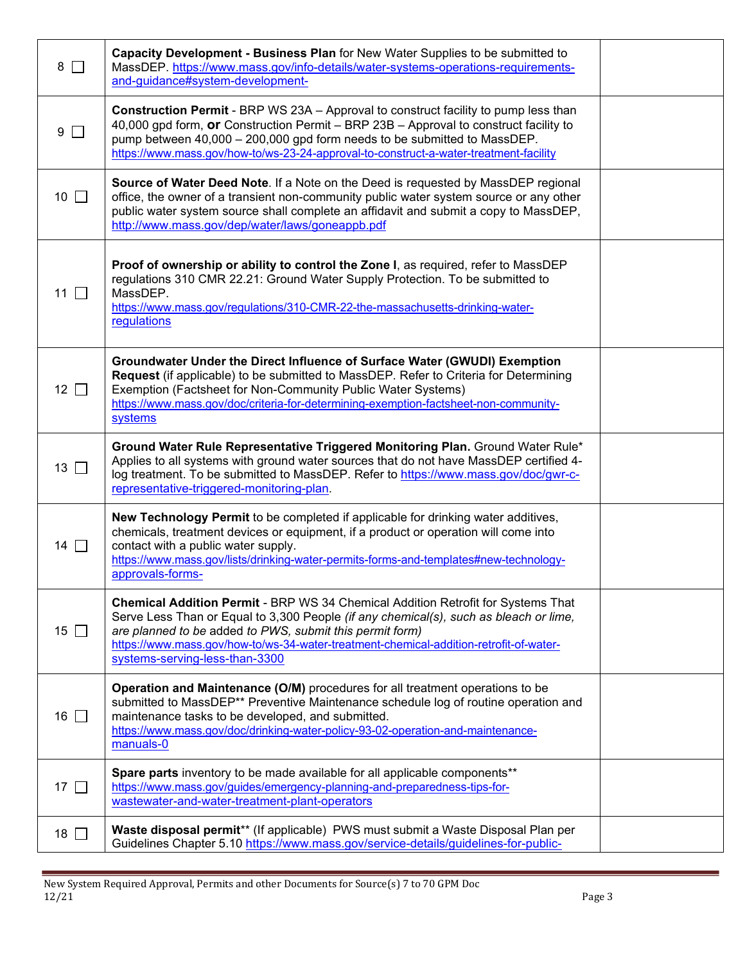| $8\Box$      | Capacity Development - Business Plan for New Water Supplies to be submitted to<br>MassDEP. https://www.mass.gov/info-details/water-systems-operations-requirements-<br>and-guidance#system-development-                                                                                                                                                                  |  |
|--------------|--------------------------------------------------------------------------------------------------------------------------------------------------------------------------------------------------------------------------------------------------------------------------------------------------------------------------------------------------------------------------|--|
| $9\Box$      | <b>Construction Permit</b> - BRP WS 23A - Approval to construct facility to pump less than<br>40,000 gpd form, or Construction Permit - BRP 23B - Approval to construct facility to<br>pump between 40,000 - 200,000 gpd form needs to be submitted to MassDEP.<br>https://www.mass.gov/how-to/ws-23-24-approval-to-construct-a-water-treatment-facility                 |  |
| 10 $\Box$    | Source of Water Deed Note. If a Note on the Deed is requested by MassDEP regional<br>office, the owner of a transient non-community public water system source or any other<br>public water system source shall complete an affidavit and submit a copy to MassDEP,<br>http://www.mass.gov/dep/water/laws/goneappb.pdf                                                   |  |
| 11 $\Box$    | Proof of ownership or ability to control the Zone I, as required, refer to MassDEP<br>regulations 310 CMR 22.21: Ground Water Supply Protection. To be submitted to<br>MassDEP.<br>https://www.mass.gov/regulations/310-CMR-22-the-massachusetts-drinking-water-<br>regulations                                                                                          |  |
| 12 $\Box$    | Groundwater Under the Direct Influence of Surface Water (GWUDI) Exemption<br>Request (if applicable) to be submitted to MassDEP. Refer to Criteria for Determining<br>Exemption (Factsheet for Non-Community Public Water Systems)<br>https://www.mass.gov/doc/criteria-for-determining-exemption-factsheet-non-community-<br>systems                                    |  |
| $13 \square$ | Ground Water Rule Representative Triggered Monitoring Plan. Ground Water Rule*<br>Applies to all systems with ground water sources that do not have MassDEP certified 4-<br>log treatment. To be submitted to MassDEP. Refer to https://www.mass.gov/doc/gwr-c-<br>representative-triggered-monitoring-plan.                                                             |  |
| 14           | New Technology Permit to be completed if applicable for drinking water additives,<br>chemicals, treatment devices or equipment, if a product or operation will come into<br>contact with a public water supply.<br>https://www.mass.gov/lists/drinking-water-permits-forms-and-templates#new-technology-<br>approvals-forms-                                             |  |
| 15 $\Box$    | <b>Chemical Addition Permit - BRP WS 34 Chemical Addition Retrofit for Systems That</b><br>Serve Less Than or Equal to 3,300 People (if any chemical(s), such as bleach or lime,<br>are planned to be added to PWS, submit this permit form)<br>https://www.mass.gov/how-to/ws-34-water-treatment-chemical-addition-retrofit-of-water-<br>systems-serving-less-than-3300 |  |
| $16\Box$     | Operation and Maintenance (O/M) procedures for all treatment operations to be<br>submitted to MassDEP** Preventive Maintenance schedule log of routine operation and<br>maintenance tasks to be developed, and submitted.<br>https://www.mass.gov/doc/drinking-water-policy-93-02-operation-and-maintenance-<br>manuals-0                                                |  |
| 17 $\Box$    | Spare parts inventory to be made available for all applicable components**<br>https://www.mass.gov/guides/emergency-planning-and-preparedness-tips-for-<br>wastewater-and-water-treatment-plant-operators                                                                                                                                                                |  |
| 18 $\Box$    | Waste disposal permit** (If applicable) PWS must submit a Waste Disposal Plan per<br>Guidelines Chapter 5.10 https://www.mass.gov/service-details/guidelines-for-public-                                                                                                                                                                                                 |  |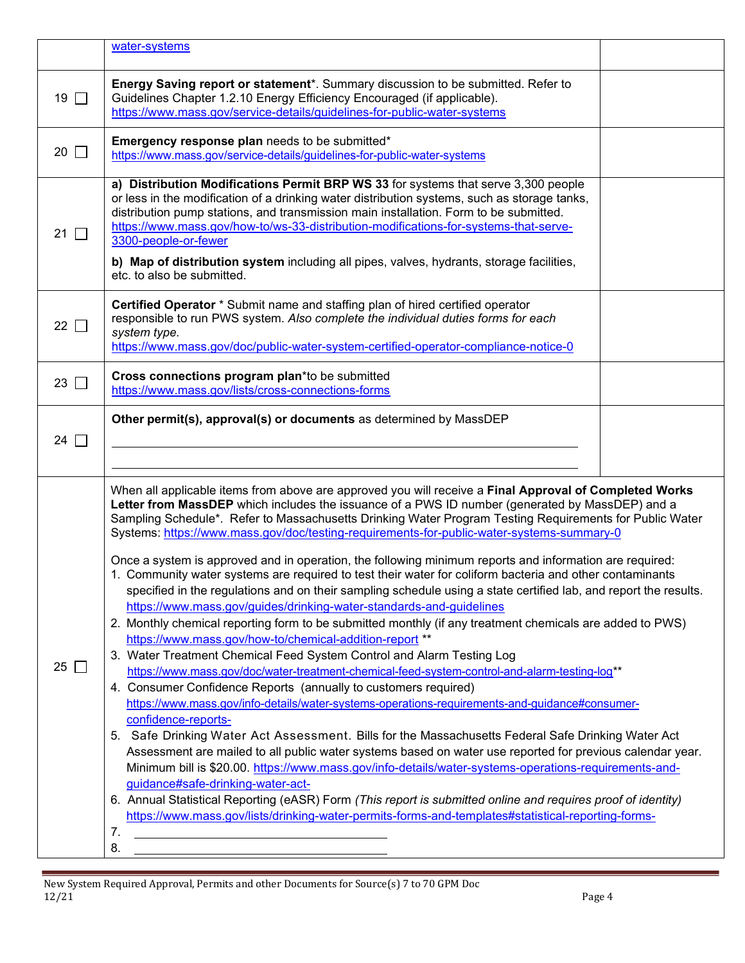|           | water-systems                                                                                                                                                                                                                                                                                                                                                                                                                                                                                                                                                                                                                                                                                                                                                                                                                                                                                                                                                                                                                                                                                                                                                                                                                                                                                                                                                                                                                                                                                                                                                                                                                                                                                                                                                                                                                                                                                                                                                                       |  |
|-----------|-------------------------------------------------------------------------------------------------------------------------------------------------------------------------------------------------------------------------------------------------------------------------------------------------------------------------------------------------------------------------------------------------------------------------------------------------------------------------------------------------------------------------------------------------------------------------------------------------------------------------------------------------------------------------------------------------------------------------------------------------------------------------------------------------------------------------------------------------------------------------------------------------------------------------------------------------------------------------------------------------------------------------------------------------------------------------------------------------------------------------------------------------------------------------------------------------------------------------------------------------------------------------------------------------------------------------------------------------------------------------------------------------------------------------------------------------------------------------------------------------------------------------------------------------------------------------------------------------------------------------------------------------------------------------------------------------------------------------------------------------------------------------------------------------------------------------------------------------------------------------------------------------------------------------------------------------------------------------------------|--|
| 19 $\Box$ | Energy Saving report or statement*. Summary discussion to be submitted. Refer to<br>Guidelines Chapter 1.2.10 Energy Efficiency Encouraged (if applicable).<br>https://www.mass.gov/service-details/guidelines-for-public-water-systems                                                                                                                                                                                                                                                                                                                                                                                                                                                                                                                                                                                                                                                                                                                                                                                                                                                                                                                                                                                                                                                                                                                                                                                                                                                                                                                                                                                                                                                                                                                                                                                                                                                                                                                                             |  |
| 20 $\Box$ | Emergency response plan needs to be submitted*<br>https://www.mass.gov/service-details/guidelines-for-public-water-systems                                                                                                                                                                                                                                                                                                                                                                                                                                                                                                                                                                                                                                                                                                                                                                                                                                                                                                                                                                                                                                                                                                                                                                                                                                                                                                                                                                                                                                                                                                                                                                                                                                                                                                                                                                                                                                                          |  |
| 21 $\Box$ | a) Distribution Modifications Permit BRP WS 33 for systems that serve 3,300 people<br>or less in the modification of a drinking water distribution systems, such as storage tanks,<br>distribution pump stations, and transmission main installation. Form to be submitted.<br>https://www.mass.gov/how-to/ws-33-distribution-modifications-for-systems-that-serve-<br>3300-people-or-fewer<br>b) Map of distribution system including all pipes, valves, hydrants, storage facilities,<br>etc. to also be submitted.                                                                                                                                                                                                                                                                                                                                                                                                                                                                                                                                                                                                                                                                                                                                                                                                                                                                                                                                                                                                                                                                                                                                                                                                                                                                                                                                                                                                                                                               |  |
| 22 $\Box$ | Certified Operator * Submit name and staffing plan of hired certified operator<br>responsible to run PWS system. Also complete the individual duties forms for each<br>system type.<br>https://www.mass.gov/doc/public-water-system-certified-operator-compliance-notice-0                                                                                                                                                                                                                                                                                                                                                                                                                                                                                                                                                                                                                                                                                                                                                                                                                                                                                                                                                                                                                                                                                                                                                                                                                                                                                                                                                                                                                                                                                                                                                                                                                                                                                                          |  |
| 23 $\Box$ | Cross connections program plan*to be submitted<br>https://www.mass.gov/lists/cross-connections-forms                                                                                                                                                                                                                                                                                                                                                                                                                                                                                                                                                                                                                                                                                                                                                                                                                                                                                                                                                                                                                                                                                                                                                                                                                                                                                                                                                                                                                                                                                                                                                                                                                                                                                                                                                                                                                                                                                |  |
| 24 $\Box$ | Other permit(s), approval(s) or documents as determined by MassDEP                                                                                                                                                                                                                                                                                                                                                                                                                                                                                                                                                                                                                                                                                                                                                                                                                                                                                                                                                                                                                                                                                                                                                                                                                                                                                                                                                                                                                                                                                                                                                                                                                                                                                                                                                                                                                                                                                                                  |  |
| $25\Box$  | When all applicable items from above are approved you will receive a Final Approval of Completed Works<br>Letter from MassDEP which includes the issuance of a PWS ID number (generated by MassDEP) and a<br>Sampling Schedule*. Refer to Massachusetts Drinking Water Program Testing Requirements for Public Water<br>Systems: https://www.mass.gov/doc/testing-requirements-for-public-water-systems-summary-0<br>Once a system is approved and in operation, the following minimum reports and information are required:<br>1. Community water systems are required to test their water for coliform bacteria and other contaminants<br>specified in the regulations and on their sampling schedule using a state certified lab, and report the results.<br>https://www.mass.gov/guides/drinking-water-standards-and-guidelines<br>2. Monthly chemical reporting form to be submitted monthly (if any treatment chemicals are added to PWS)<br>https://www.mass.gov/how-to/chemical-addition-report **<br>3. Water Treatment Chemical Feed System Control and Alarm Testing Log<br>https://www.mass.gov/doc/water-treatment-chemical-feed-system-control-and-alarm-testing-log**<br>4. Consumer Confidence Reports (annually to customers required)<br>https://www.mass.gov/info-details/water-systems-operations-requirements-and-guidance#consumer-<br>confidence-reports-<br>5. Safe Drinking Water Act Assessment. Bills for the Massachusetts Federal Safe Drinking Water Act<br>Assessment are mailed to all public water systems based on water use reported for previous calendar year.<br>Minimum bill is \$20.00. https://www.mass.gov/info-details/water-systems-operations-requirements-and-<br>guidance#safe-drinking-water-act-<br>6. Annual Statistical Reporting (eASR) Form (This report is submitted online and requires proof of identity)<br>https://www.mass.gov/lists/drinking-water-permits-forms-and-templates#statistical-reporting-forms-<br>7.<br>8. |  |